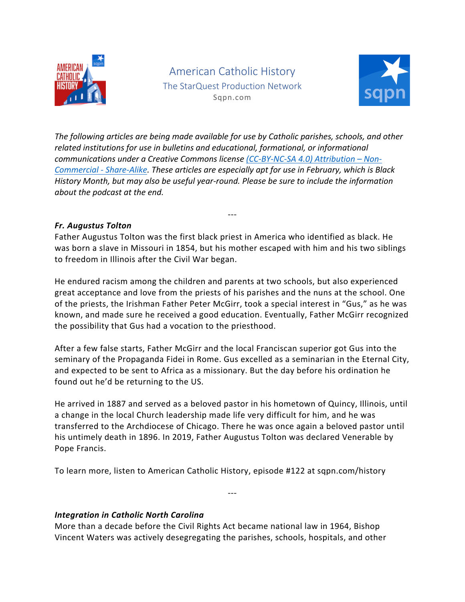

American Catholic History The StarQuest Production Network Sqpn.com



*The following articles are being made available for use by Catholic parishes, schools, and other related institutions for use in bulletins and educational, formational, or informational communications under a Creative Commons license (CC-BY-NC-SA 4.0) Attribution – Non-Commercial - Share-Alike. These articles are especially apt for use in February, which is Black History Month, but may also be useful year-round. Please be sure to include the information about the podcast at the end.*

# *Fr. Augustus Tolton*

Father Augustus Tolton was the first black priest in America who identified as black. He was born a slave in Missouri in 1854, but his mother escaped with him and his two siblings to freedom in Illinois after the Civil War began.

---

He endured racism among the children and parents at two schools, but also experienced great acceptance and love from the priests of his parishes and the nuns at the school. One of the priests, the Irishman Father Peter McGirr, took a special interest in "Gus," as he was known, and made sure he received a good education. Eventually, Father McGirr recognized the possibility that Gus had a vocation to the priesthood.

After a few false starts, Father McGirr and the local Franciscan superior got Gus into the seminary of the Propaganda Fidei in Rome. Gus excelled as a seminarian in the Eternal City, and expected to be sent to Africa as a missionary. But the day before his ordination he found out he'd be returning to the US.

He arrived in 1887 and served as a beloved pastor in his hometown of Quincy, Illinois, until a change in the local Church leadership made life very difficult for him, and he was transferred to the Archdiocese of Chicago. There he was once again a beloved pastor until his untimely death in 1896. In 2019, Father Augustus Tolton was declared Venerable by Pope Francis.

---

To learn more, listen to American Catholic History, episode #122 at sqpn.com/history

### *Integration in Catholic North Carolina*

More than a decade before the Civil Rights Act became national law in 1964, Bishop Vincent Waters was actively desegregating the parishes, schools, hospitals, and other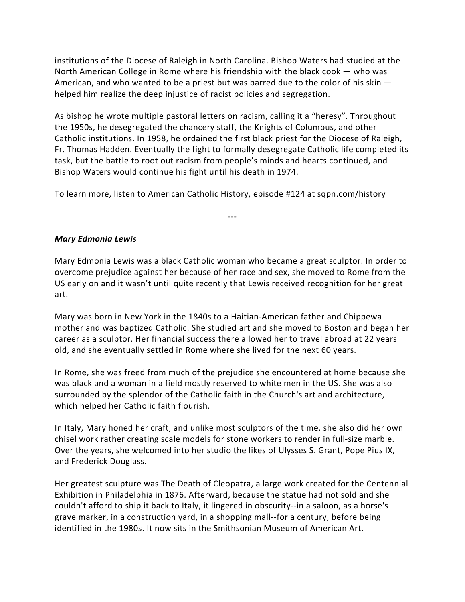institutions of the Diocese of Raleigh in North Carolina. Bishop Waters had studied at the North American College in Rome where his friendship with the black cook — who was American, and who wanted to be a priest but was barred due to the color of his skin helped him realize the deep injustice of racist policies and segregation.

As bishop he wrote multiple pastoral letters on racism, calling it a "heresy". Throughout the 1950s, he desegregated the chancery staff, the Knights of Columbus, and other Catholic institutions. In 1958, he ordained the first black priest for the Diocese of Raleigh, Fr. Thomas Hadden. Eventually the fight to formally desegregate Catholic life completed its task, but the battle to root out racism from people's minds and hearts continued, and Bishop Waters would continue his fight until his death in 1974.

To learn more, listen to American Catholic History, episode #124 at sqpn.com/history

# *Mary Edmonia Lewis*

Mary Edmonia Lewis was a black Catholic woman who became a great sculptor. In order to overcome prejudice against her because of her race and sex, she moved to Rome from the US early on and it wasn't until quite recently that Lewis received recognition for her great art.

---

Mary was born in New York in the 1840s to a Haitian-American father and Chippewa mother and was baptized Catholic. She studied art and she moved to Boston and began her career as a sculptor. Her financial success there allowed her to travel abroad at 22 years old, and she eventually settled in Rome where she lived for the next 60 years.

In Rome, she was freed from much of the prejudice she encountered at home because she was black and a woman in a field mostly reserved to white men in the US. She was also surrounded by the splendor of the Catholic faith in the Church's art and architecture, which helped her Catholic faith flourish.

In Italy, Mary honed her craft, and unlike most sculptors of the time, she also did her own chisel work rather creating scale models for stone workers to render in full-size marble. Over the years, she welcomed into her studio the likes of Ulysses S. Grant, Pope Pius IX, and Frederick Douglass.

Her greatest sculpture was The Death of Cleopatra, a large work created for the Centennial Exhibition in Philadelphia in 1876. Afterward, because the statue had not sold and she couldn't afford to ship it back to Italy, it lingered in obscurity--in a saloon, as a horse's grave marker, in a construction yard, in a shopping mall--for a century, before being identified in the 1980s. It now sits in the Smithsonian Museum of American Art.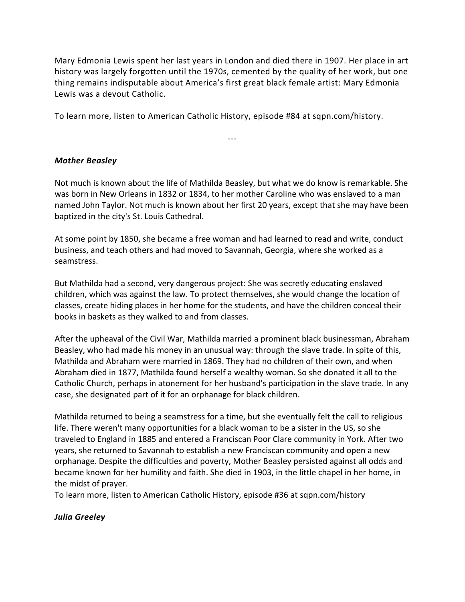Mary Edmonia Lewis spent her last years in London and died there in 1907. Her place in art history was largely forgotten until the 1970s, cemented by the quality of her work, but one thing remains indisputable about America's first great black female artist: Mary Edmonia Lewis was a devout Catholic.

To learn more, listen to American Catholic History, episode #84 at sqpn.com/history.

# *Mother Beasley*

Not much is known about the life of Mathilda Beasley, but what we do know is remarkable. She was born in New Orleans in 1832 or 1834, to her mother Caroline who was enslaved to a man named John Taylor. Not much is known about her first 20 years, except that she may have been baptized in the city's St. Louis Cathedral.

---

At some point by 1850, she became a free woman and had learned to read and write, conduct business, and teach others and had moved to Savannah, Georgia, where she worked as a seamstress.

But Mathilda had a second, very dangerous project: She was secretly educating enslaved children, which was against the law. To protect themselves, she would change the location of classes, create hiding places in her home for the students, and have the children conceal their books in baskets as they walked to and from classes.

After the upheaval of the Civil War, Mathilda married a prominent black businessman, Abraham Beasley, who had made his money in an unusual way: through the slave trade. In spite of this, Mathilda and Abraham were married in 1869. They had no children of their own, and when Abraham died in 1877, Mathilda found herself a wealthy woman. So she donated it all to the Catholic Church, perhaps in atonement for her husband's participation in the slave trade. In any case, she designated part of it for an orphanage for black children.

Mathilda returned to being a seamstress for a time, but she eventually felt the call to religious life. There weren't many opportunities for a black woman to be a sister in the US, so she traveled to England in 1885 and entered a Franciscan Poor Clare community in York. After two years, she returned to Savannah to establish a new Franciscan community and open a new orphanage. Despite the difficulties and poverty, Mother Beasley persisted against all odds and became known for her humility and faith. She died in 1903, in the little chapel in her home, in the midst of prayer.

To learn more, listen to American Catholic History, episode #36 at sqpn.com/history

### *Julia Greeley*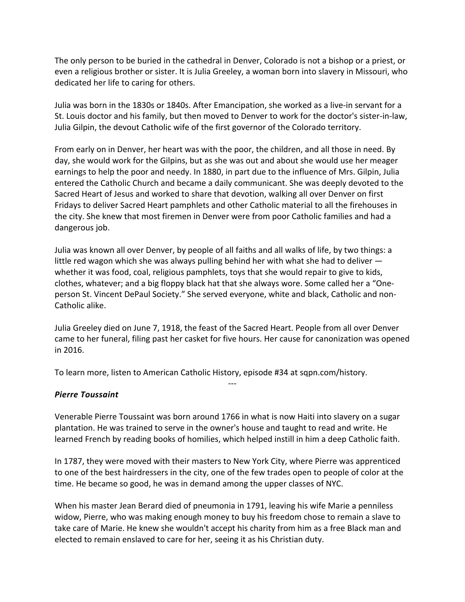The only person to be buried in the cathedral in Denver, Colorado is not a bishop or a priest, or even a religious brother or sister. It is Julia Greeley, a woman born into slavery in Missouri, who dedicated her life to caring for others.

Julia was born in the 1830s or 1840s. After Emancipation, she worked as a live-in servant for a St. Louis doctor and his family, but then moved to Denver to work for the doctor's sister-in-law, Julia Gilpin, the devout Catholic wife of the first governor of the Colorado territory.

From early on in Denver, her heart was with the poor, the children, and all those in need. By day, she would work for the Gilpins, but as she was out and about she would use her meager earnings to help the poor and needy. In 1880, in part due to the influence of Mrs. Gilpin, Julia entered the Catholic Church and became a daily communicant. She was deeply devoted to the Sacred Heart of Jesus and worked to share that devotion, walking all over Denver on first Fridays to deliver Sacred Heart pamphlets and other Catholic material to all the firehouses in the city. She knew that most firemen in Denver were from poor Catholic families and had a dangerous job.

Julia was known all over Denver, by people of all faiths and all walks of life, by two things: a little red wagon which she was always pulling behind her with what she had to deliver whether it was food, coal, religious pamphlets, toys that she would repair to give to kids, clothes, whatever; and a big floppy black hat that she always wore. Some called her a "Oneperson St. Vincent DePaul Society." She served everyone, white and black, Catholic and non-Catholic alike.

Julia Greeley died on June 7, 1918, the feast of the Sacred Heart. People from all over Denver came to her funeral, filing past her casket for five hours. Her cause for canonization was opened in 2016.

---

To learn more, listen to American Catholic History, episode #34 at sqpn.com/history.

### *Pierre Toussaint*

Venerable Pierre Toussaint was born around 1766 in what is now Haiti into slavery on a sugar plantation. He was trained to serve in the owner's house and taught to read and write. He learned French by reading books of homilies, which helped instill in him a deep Catholic faith.

In 1787, they were moved with their masters to New York City, where Pierre was apprenticed to one of the best hairdressers in the city, one of the few trades open to people of color at the time. He became so good, he was in demand among the upper classes of NYC.

When his master Jean Berard died of pneumonia in 1791, leaving his wife Marie a penniless widow, Pierre, who was making enough money to buy his freedom chose to remain a slave to take care of Marie. He knew she wouldn't accept his charity from him as a free Black man and elected to remain enslaved to care for her, seeing it as his Christian duty.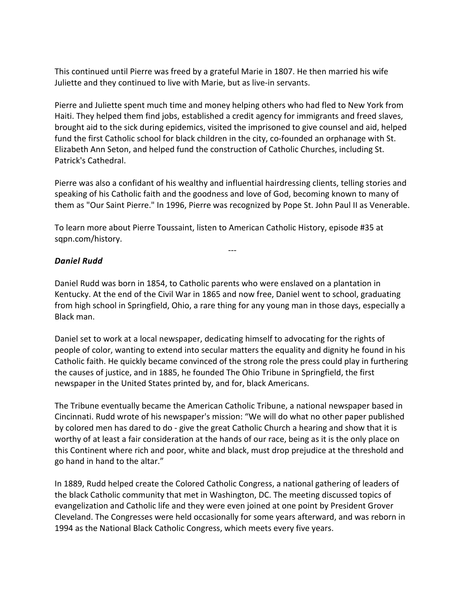This continued until Pierre was freed by a grateful Marie in 1807. He then married his wife Juliette and they continued to live with Marie, but as live-in servants.

Pierre and Juliette spent much time and money helping others who had fled to New York from Haiti. They helped them find jobs, established a credit agency for immigrants and freed slaves, brought aid to the sick during epidemics, visited the imprisoned to give counsel and aid, helped fund the first Catholic school for black children in the city, co-founded an orphanage with St. Elizabeth Ann Seton, and helped fund the construction of Catholic Churches, including St. Patrick's Cathedral.

Pierre was also a confidant of his wealthy and influential hairdressing clients, telling stories and speaking of his Catholic faith and the goodness and love of God, becoming known to many of them as "Our Saint Pierre." In 1996, Pierre was recognized by Pope St. John Paul II as Venerable.

---

To learn more about Pierre Toussaint, listen to American Catholic History, episode #35 at sqpn.com/history.

### *Daniel Rudd*

Daniel Rudd was born in 1854, to Catholic parents who were enslaved on a plantation in Kentucky. At the end of the Civil War in 1865 and now free, Daniel went to school, graduating from high school in Springfield, Ohio, a rare thing for any young man in those days, especially a Black man.

Daniel set to work at a local newspaper, dedicating himself to advocating for the rights of people of color, wanting to extend into secular matters the equality and dignity he found in his Catholic faith. He quickly became convinced of the strong role the press could play in furthering the causes of justice, and in 1885, he founded The Ohio Tribune in Springfield, the first newspaper in the United States printed by, and for, black Americans.

The Tribune eventually became the American Catholic Tribune, a national newspaper based in Cincinnati. Rudd wrote of his newspaper's mission: "We will do what no other paper published by colored men has dared to do - give the great Catholic Church a hearing and show that it is worthy of at least a fair consideration at the hands of our race, being as it is the only place on this Continent where rich and poor, white and black, must drop prejudice at the threshold and go hand in hand to the altar."

In 1889, Rudd helped create the Colored Catholic Congress, a national gathering of leaders of the black Catholic community that met in Washington, DC. The meeting discussed topics of evangelization and Catholic life and they were even joined at one point by President Grover Cleveland. The Congresses were held occasionally for some years afterward, and was reborn in 1994 as the National Black Catholic Congress, which meets every five years.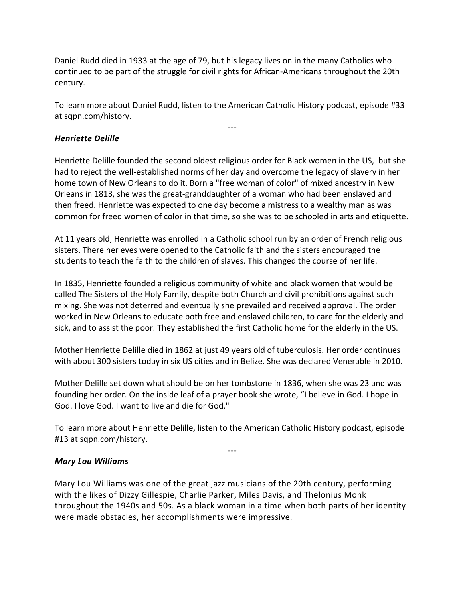Daniel Rudd died in 1933 at the age of 79, but his legacy lives on in the many Catholics who continued to be part of the struggle for civil rights for African-Americans throughout the 20th century.

To learn more about Daniel Rudd, listen to the American Catholic History podcast, episode #33 at sqpn.com/history.

---

# *Henriette Delille*

Henriette Delille founded the second oldest religious order for Black women in the US, but she had to reject the well-established norms of her day and overcome the legacy of slavery in her home town of New Orleans to do it. Born a "free woman of color" of mixed ancestry in New Orleans in 1813, she was the great-granddaughter of a woman who had been enslaved and then freed. Henriette was expected to one day become a mistress to a wealthy man as was common for freed women of color in that time, so she was to be schooled in arts and etiquette.

At 11 years old, Henriette was enrolled in a Catholic school run by an order of French religious sisters. There her eyes were opened to the Catholic faith and the sisters encouraged the students to teach the faith to the children of slaves. This changed the course of her life.

In 1835, Henriette founded a religious community of white and black women that would be called The Sisters of the Holy Family, despite both Church and civil prohibitions against such mixing. She was not deterred and eventually she prevailed and received approval. The order worked in New Orleans to educate both free and enslaved children, to care for the elderly and sick, and to assist the poor. They established the first Catholic home for the elderly in the US.

Mother Henriette Delille died in 1862 at just 49 years old of tuberculosis. Her order continues with about 300 sisters today in six US cities and in Belize. She was declared Venerable in 2010.

Mother Delille set down what should be on her tombstone in 1836, when she was 23 and was founding her order. On the inside leaf of a prayer book she wrote, "I believe in God. I hope in God. I love God. I want to live and die for God."

To learn more about Henriette Delille, listen to the American Catholic History podcast, episode #13 at sqpn.com/history.

---

### *Mary Lou Williams*

Mary Lou Williams was one of the great jazz musicians of the 20th century, performing with the likes of Dizzy Gillespie, Charlie Parker, Miles Davis, and Thelonius Monk throughout the 1940s and 50s. As a black woman in a time when both parts of her identity were made obstacles, her accomplishments were impressive.